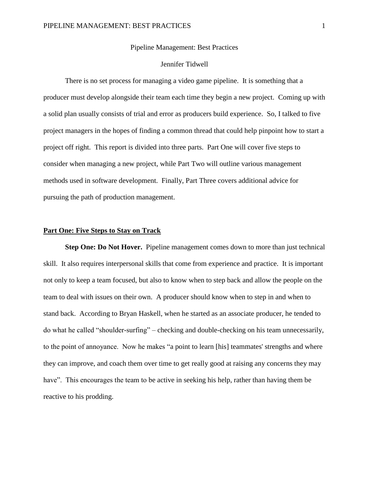### Pipeline Management: Best Practices

## Jennifer Tidwell

There is no set process for managing a video game pipeline. It is something that a producer must develop alongside their team each time they begin a new project. Coming up with a solid plan usually consists of trial and error as producers build experience. So, I talked to five project managers in the hopes of finding a common thread that could help pinpoint how to start a project off right. This report is divided into three parts. Part One will cover five steps to consider when managing a new project, while Part Two will outline various management methods used in software development. Finally, Part Three covers additional advice for pursuing the path of production management.

#### **Part One: Five Steps to Stay on Track**

**Step One: Do Not Hover.** Pipeline management comes down to more than just technical skill. It also requires interpersonal skills that come from experience and practice. It is important not only to keep a team focused, but also to know when to step back and allow the people on the team to deal with issues on their own. A producer should know when to step in and when to stand back. According to Bryan Haskell, when he started as an associate producer, he tended to do what he called "shoulder-surfing" – checking and double-checking on his team unnecessarily, to the point of annoyance. Now he makes "a point to learn [his] teammates' strengths and where they can improve, and coach them over time to get really good at raising any concerns they may have". This encourages the team to be active in seeking his help, rather than having them be reactive to his prodding.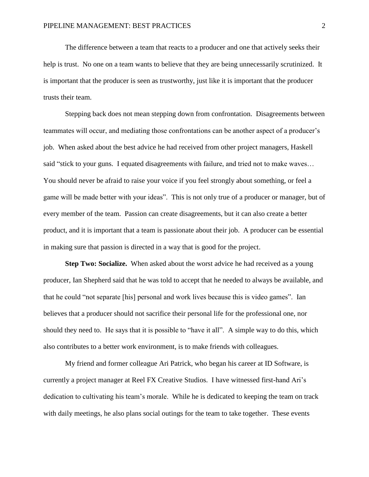The difference between a team that reacts to a producer and one that actively seeks their help is trust. No one on a team wants to believe that they are being unnecessarily scrutinized. It is important that the producer is seen as trustworthy, just like it is important that the producer trusts their team.

Stepping back does not mean stepping down from confrontation. Disagreements between teammates will occur, and mediating those confrontations can be another aspect of a producer's job. When asked about the best advice he had received from other project managers, Haskell said "stick to your guns. I equated disagreements with failure, and tried not to make waves… You should never be afraid to raise your voice if you feel strongly about something, or feel a game will be made better with your ideas". This is not only true of a producer or manager, but of every member of the team. Passion can create disagreements, but it can also create a better product, and it is important that a team is passionate about their job. A producer can be essential in making sure that passion is directed in a way that is good for the project.

**Step Two: Socialize.** When asked about the worst advice he had received as a young producer, Ian Shepherd said that he was told to accept that he needed to always be available, and that he could "not separate [his] personal and work lives because this is video games". Ian believes that a producer should not sacrifice their personal life for the professional one, nor should they need to. He says that it is possible to "have it all". A simple way to do this, which also contributes to a better work environment, is to make friends with colleagues.

My friend and former colleague Ari Patrick, who began his career at ID Software, is currently a project manager at Reel FX Creative Studios. I have witnessed first-hand Ari's dedication to cultivating his team's morale. While he is dedicated to keeping the team on track with daily meetings, he also plans social outings for the team to take together. These events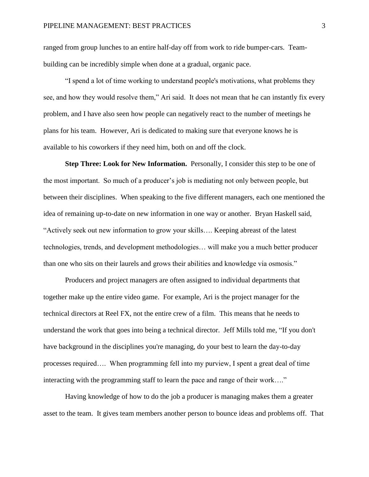ranged from group lunches to an entire half-day off from work to ride bumper-cars. Teambuilding can be incredibly simple when done at a gradual, organic pace.

"I spend a lot of time working to understand people's motivations, what problems they see, and how they would resolve them," Ari said. It does not mean that he can instantly fix every problem, and I have also seen how people can negatively react to the number of meetings he plans for his team. However, Ari is dedicated to making sure that everyone knows he is available to his coworkers if they need him, both on and off the clock.

**Step Three: Look for New Information.** Personally, I consider this step to be one of the most important. So much of a producer's job is mediating not only between people, but between their disciplines. When speaking to the five different managers, each one mentioned the idea of remaining up-to-date on new information in one way or another. Bryan Haskell said, "Actively seek out new information to grow your skills…. Keeping abreast of the latest technologies, trends, and development methodologies… will make you a much better producer than one who sits on their laurels and grows their abilities and knowledge via osmosis."

Producers and project managers are often assigned to individual departments that together make up the entire video game. For example, Ari is the project manager for the technical directors at Reel FX, not the entire crew of a film. This means that he needs to understand the work that goes into being a technical director. Jeff Mills told me, "If you don't have background in the disciplines you're managing, do your best to learn the day-to-day processes required…. When programming fell into my purview, I spent a great deal of time interacting with the programming staff to learn the pace and range of their work…."

Having knowledge of how to do the job a producer is managing makes them a greater asset to the team. It gives team members another person to bounce ideas and problems off. That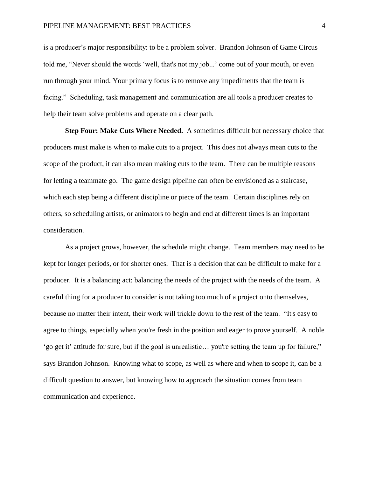is a producer's major responsibility: to be a problem solver. Brandon Johnson of Game Circus told me, "Never should the words 'well, that's not my job...' come out of your mouth, or even run through your mind. Your primary focus is to remove any impediments that the team is facing." Scheduling, task management and communication are all tools a producer creates to help their team solve problems and operate on a clear path.

**Step Four: Make Cuts Where Needed.** A sometimes difficult but necessary choice that producers must make is when to make cuts to a project. This does not always mean cuts to the scope of the product, it can also mean making cuts to the team. There can be multiple reasons for letting a teammate go. The game design pipeline can often be envisioned as a staircase, which each step being a different discipline or piece of the team. Certain disciplines rely on others, so scheduling artists, or animators to begin and end at different times is an important consideration.

As a project grows, however, the schedule might change. Team members may need to be kept for longer periods, or for shorter ones. That is a decision that can be difficult to make for a producer. It is a balancing act: balancing the needs of the project with the needs of the team. A careful thing for a producer to consider is not taking too much of a project onto themselves, because no matter their intent, their work will trickle down to the rest of the team. "It's easy to agree to things, especially when you're fresh in the position and eager to prove yourself. A noble 'go get it' attitude for sure, but if the goal is unrealistic… you're setting the team up for failure," says Brandon Johnson. Knowing what to scope, as well as where and when to scope it, can be a difficult question to answer, but knowing how to approach the situation comes from team communication and experience.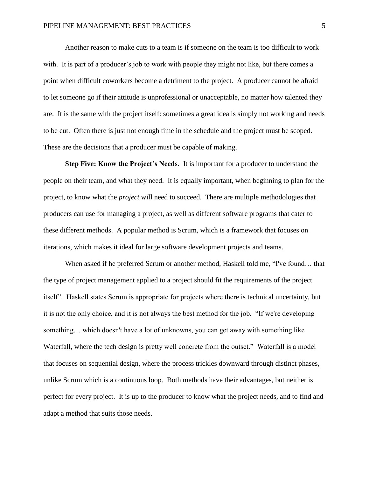Another reason to make cuts to a team is if someone on the team is too difficult to work with. It is part of a producer's job to work with people they might not like, but there comes a point when difficult coworkers become a detriment to the project. A producer cannot be afraid to let someone go if their attitude is unprofessional or unacceptable, no matter how talented they are. It is the same with the project itself: sometimes a great idea is simply not working and needs to be cut. Often there is just not enough time in the schedule and the project must be scoped. These are the decisions that a producer must be capable of making.

**Step Five: Know the Project's Needs.** It is important for a producer to understand the people on their team, and what they need. It is equally important, when beginning to plan for the project, to know what the *project* will need to succeed. There are multiple methodologies that producers can use for managing a project, as well as different software programs that cater to these different methods. A popular method is Scrum, which is a framework that focuses on iterations, which makes it ideal for large software development projects and teams.

When asked if he preferred Scrum or another method, Haskell told me, "I've found… that the type of project management applied to a project should fit the requirements of the project itself". Haskell states Scrum is appropriate for projects where there is technical uncertainty, but it is not the only choice, and it is not always the best method for the job. "If we're developing something… which doesn't have a lot of unknowns, you can get away with something like Waterfall, where the tech design is pretty well concrete from the outset." Waterfall is a model that focuses on sequential design, where the process trickles downward through distinct phases, unlike Scrum which is a continuous loop. Both methods have their advantages, but neither is perfect for every project. It is up to the producer to know what the project needs, and to find and adapt a method that suits those needs.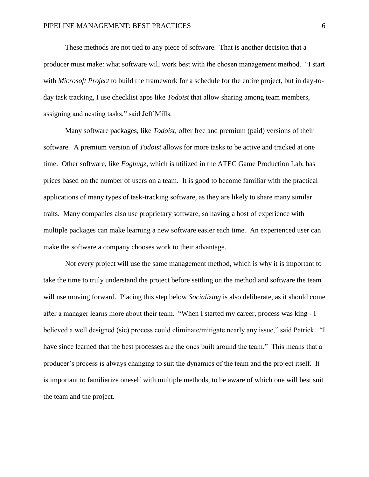These methods are not tied to any piece of software. That is another decision that a producer must make: what software will work best with the chosen management method. "I start with *Microsoft Project* to build the framework for a schedule for the entire project, but in day-today task tracking, I use checklist apps like *Todoist* that allow sharing among team members, assigning and nesting tasks," said Jeff Mills.

Many software packages, like *Todoist*, offer free and premium (paid) versions of their software. A premium version of *Todoist* allows for more tasks to be active and tracked at one time. Other software, like *Fogbugz*, which is utilized in the ATEC Game Production Lab, has prices based on the number of users on a team. It is good to become familiar with the practical applications of many types of task-tracking software, as they are likely to share many similar traits. Many companies also use proprietary software, so having a host of experience with multiple packages can make learning a new software easier each time. An experienced user can make the software a company chooses work to their advantage.

Not every project will use the same management method, which is why it is important to take the time to truly understand the project before settling on the method and software the team will use moving forward. Placing this step below *Socializing* is also deliberate, as it should come after a manager learns more about their team. "When I started my career, process was king - I believed a well designed (sic) process could eliminate/mitigate nearly any issue," said Patrick. "I have since learned that the best processes are the ones built around the team." This means that a producer's process is always changing to suit the dynamics of the team and the project itself. It is important to familiarize oneself with multiple methods, to be aware of which one will best suit the team and the project.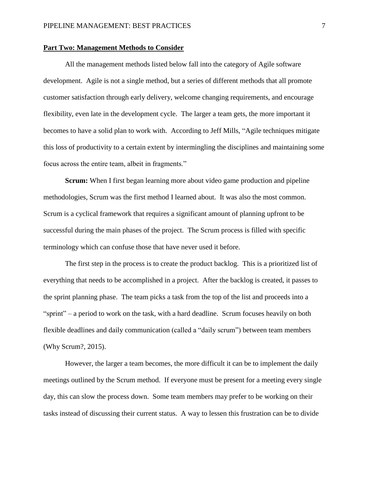### **Part Two: Management Methods to Consider**

All the management methods listed below fall into the category of Agile software development. Agile is not a single method, but a series of different methods that all promote customer satisfaction through early delivery, welcome changing requirements, and encourage flexibility, even late in the development cycle. The larger a team gets, the more important it becomes to have a solid plan to work with. According to Jeff Mills, "Agile techniques mitigate this loss of productivity to a certain extent by intermingling the disciplines and maintaining some focus across the entire team, albeit in fragments."

**Scrum:** When I first began learning more about video game production and pipeline methodologies, Scrum was the first method I learned about. It was also the most common. Scrum is a cyclical framework that requires a significant amount of planning upfront to be successful during the main phases of the project. The Scrum process is filled with specific terminology which can confuse those that have never used it before.

The first step in the process is to create the product backlog. This is a prioritized list of everything that needs to be accomplished in a project. After the backlog is created, it passes to the sprint planning phase. The team picks a task from the top of the list and proceeds into a "sprint" – a period to work on the task, with a hard deadline. Scrum focuses heavily on both flexible deadlines and daily communication (called a "daily scrum") between team members (Why Scrum?, 2015).

However, the larger a team becomes, the more difficult it can be to implement the daily meetings outlined by the Scrum method. If everyone must be present for a meeting every single day, this can slow the process down. Some team members may prefer to be working on their tasks instead of discussing their current status. A way to lessen this frustration can be to divide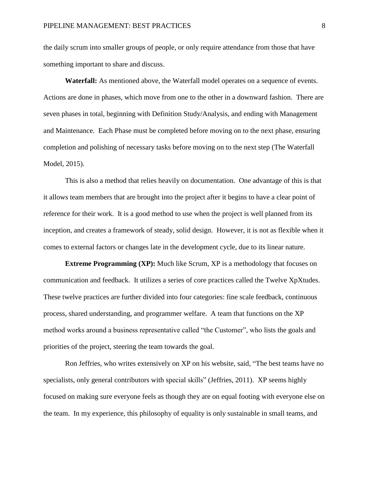the daily scrum into smaller groups of people, or only require attendance from those that have something important to share and discuss.

**Waterfall:** As mentioned above, the Waterfall model operates on a sequence of events. Actions are done in phases, which move from one to the other in a downward fashion. There are seven phases in total, beginning with Definition Study/Analysis, and ending with Management and Maintenance. Each Phase must be completed before moving on to the next phase, ensuring completion and polishing of necessary tasks before moving on to the next step (The Waterfall Model, 2015).

This is also a method that relies heavily on documentation. One advantage of this is that it allows team members that are brought into the project after it begins to have a clear point of reference for their work. It is a good method to use when the project is well planned from its inception, and creates a framework of steady, solid design. However, it is not as flexible when it comes to external factors or changes late in the development cycle, due to its linear nature.

**Extreme Programming (XP):** Much like Scrum, XP is a methodology that focuses on communication and feedback. It utilizes a series of core practices called the Twelve XpXtudes. These twelve practices are further divided into four categories: fine scale feedback, continuous process, shared understanding, and programmer welfare. A team that functions on the XP method works around a business representative called "the Customer", who lists the goals and priorities of the project, steering the team towards the goal.

Ron Jeffries, who writes extensively on XP on his website, said, "The best teams have no specialists, only general contributors with special skills" (Jeffries, 2011). XP seems highly focused on making sure everyone feels as though they are on equal footing with everyone else on the team. In my experience, this philosophy of equality is only sustainable in small teams, and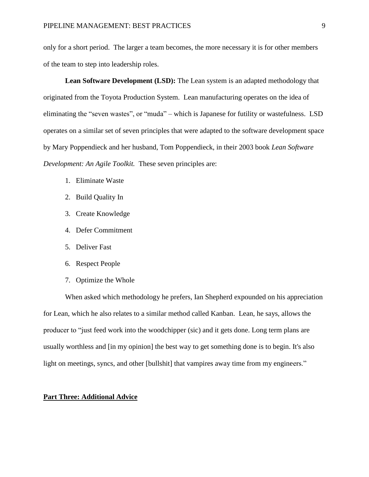only for a short period. The larger a team becomes, the more necessary it is for other members of the team to step into leadership roles.

**Lean Software Development (LSD):** The Lean system is an adapted methodology that originated from the Toyota Production System. Lean manufacturing operates on the idea of eliminating the "seven wastes", or "muda" – which is Japanese for futility or wastefulness. LSD operates on a similar set of seven principles that were adapted to the software development space by Mary Poppendieck and her husband, Tom Poppendieck, in their 2003 book *Lean Software Development: An Agile Toolkit.* These seven principles are:

- 1. Eliminate Waste
- 2. Build Quality In
- 3. Create Knowledge
- 4. Defer Commitment
- 5. Deliver Fast
- 6. Respect People
- 7. Optimize the Whole

When asked which methodology he prefers, Ian Shepherd expounded on his appreciation for Lean, which he also relates to a similar method called Kanban. Lean, he says, allows the producer to "just feed work into the woodchipper (sic) and it gets done. Long term plans are usually worthless and [in my opinion] the best way to get something done is to begin. It's also light on meetings, syncs, and other [bullshit] that vampires away time from my engineers."

## **Part Three: Additional Advice**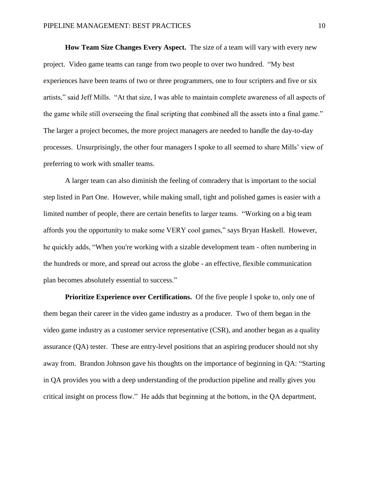**How Team Size Changes Every Aspect.** The size of a team will vary with every new project. Video game teams can range from two people to over two hundred. "My best experiences have been teams of two or three programmers, one to four scripters and five or six artists," said Jeff Mills. "At that size, I was able to maintain complete awareness of all aspects of the game while still overseeing the final scripting that combined all the assets into a final game." The larger a project becomes, the more project managers are needed to handle the day-to-day processes. Unsurprisingly, the other four managers I spoke to all seemed to share Mills' view of preferring to work with smaller teams.

A larger team can also diminish the feeling of comradery that is important to the social step listed in Part One. However, while making small, tight and polished games is easier with a limited number of people, there are certain benefits to larger teams. "Working on a big team affords you the opportunity to make some VERY cool games," says Bryan Haskell. However, he quickly adds, "When you're working with a sizable development team - often numbering in the hundreds or more, and spread out across the globe - an effective, flexible communication plan becomes absolutely essential to success."

**Prioritize Experience over Certifications.** Of the five people I spoke to, only one of them began their career in the video game industry as a producer. Two of them began in the video game industry as a customer service representative (CSR), and another began as a quality assurance (QA) tester. These are entry-level positions that an aspiring producer should not shy away from. Brandon Johnson gave his thoughts on the importance of beginning in QA: "Starting in QA provides you with a deep understanding of the production pipeline and really gives you critical insight on process flow." He adds that beginning at the bottom, in the QA department,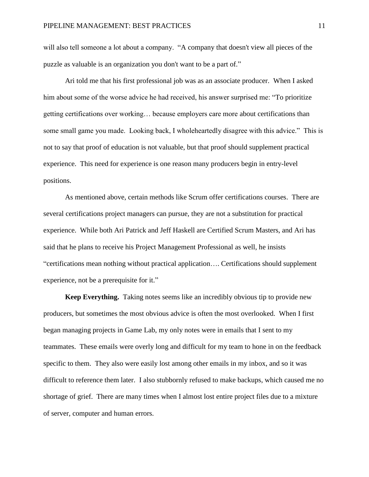will also tell someone a lot about a company. "A company that doesn't view all pieces of the puzzle as valuable is an organization you don't want to be a part of."

Ari told me that his first professional job was as an associate producer. When I asked him about some of the worse advice he had received, his answer surprised me: "To prioritize getting certifications over working… because employers care more about certifications than some small game you made. Looking back, I wholeheartedly disagree with this advice." This is not to say that proof of education is not valuable, but that proof should supplement practical experience. This need for experience is one reason many producers begin in entry-level positions.

As mentioned above, certain methods like Scrum offer certifications courses. There are several certifications project managers can pursue, they are not a substitution for practical experience. While both Ari Patrick and Jeff Haskell are Certified Scrum Masters, and Ari has said that he plans to receive his Project Management Professional as well, he insists "certifications mean nothing without practical application…. Certifications should supplement experience, not be a prerequisite for it."

**Keep Everything.** Taking notes seems like an incredibly obvious tip to provide new producers, but sometimes the most obvious advice is often the most overlooked. When I first began managing projects in Game Lab, my only notes were in emails that I sent to my teammates. These emails were overly long and difficult for my team to hone in on the feedback specific to them. They also were easily lost among other emails in my inbox, and so it was difficult to reference them later. I also stubbornly refused to make backups, which caused me no shortage of grief. There are many times when I almost lost entire project files due to a mixture of server, computer and human errors.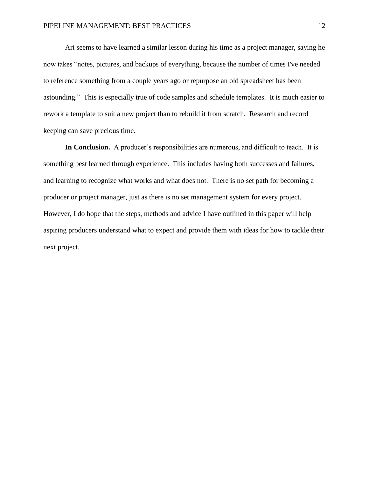Ari seems to have learned a similar lesson during his time as a project manager, saying he now takes "notes, pictures, and backups of everything, because the number of times I've needed to reference something from a couple years ago or repurpose an old spreadsheet has been astounding." This is especially true of code samples and schedule templates. It is much easier to rework a template to suit a new project than to rebuild it from scratch. Research and record keeping can save precious time.

**In Conclusion.** A producer's responsibilities are numerous, and difficult to teach. It is something best learned through experience. This includes having both successes and failures, and learning to recognize what works and what does not. There is no set path for becoming a producer or project manager, just as there is no set management system for every project. However, I do hope that the steps, methods and advice I have outlined in this paper will help aspiring producers understand what to expect and provide them with ideas for how to tackle their next project.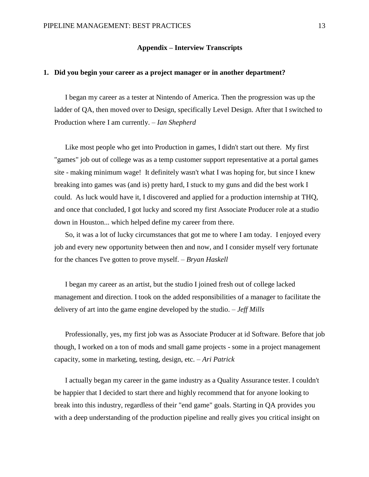## **Appendix – Interview Transcripts**

## **1. Did you begin your career as a project manager or in another department?**

I began my career as a tester at Nintendo of America. Then the progression was up the ladder of QA, then moved over to Design, specifically Level Design. After that I switched to Production where I am currently. – *Ian Shepherd*

Like most people who get into Production in games, I didn't start out there. My first "games" job out of college was as a temp customer support representative at a portal games site - making minimum wage! It definitely wasn't what I was hoping for, but since I knew breaking into games was (and is) pretty hard, I stuck to my guns and did the best work I could. As luck would have it, I discovered and applied for a production internship at THQ, and once that concluded, I got lucky and scored my first Associate Producer role at a studio down in Houston... which helped define my career from there.

So, it was a lot of lucky circumstances that got me to where I am today. I enjoyed every job and every new opportunity between then and now, and I consider myself very fortunate for the chances I've gotten to prove myself. – *Bryan Haskell*

I began my career as an artist, but the studio I joined fresh out of college lacked management and direction. I took on the added responsibilities of a manager to facilitate the delivery of art into the game engine developed by the studio. – *Jeff Mills*

Professionally, yes, my first job was as Associate Producer at id Software. Before that job though, I worked on a ton of mods and small game projects - some in a project management capacity, some in marketing, testing, design, etc. – *Ari Patrick* 

I actually began my career in the game industry as a Quality Assurance tester. I couldn't be happier that I decided to start there and highly recommend that for anyone looking to break into this industry, regardless of their "end game" goals. Starting in QA provides you with a deep understanding of the production pipeline and really gives you critical insight on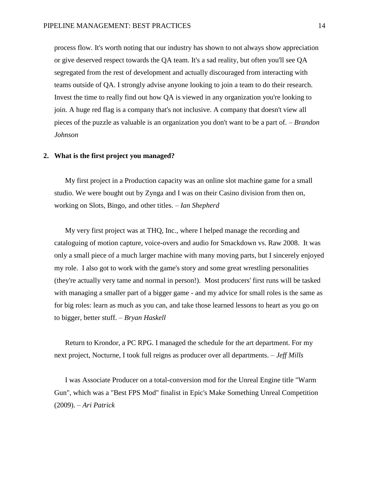process flow. It's worth noting that our industry has shown to not always show appreciation or give deserved respect towards the QA team. It's a sad reality, but often you'll see QA segregated from the rest of development and actually discouraged from interacting with teams outside of QA. I strongly advise anyone looking to join a team to do their research. Invest the time to really find out how QA is viewed in any organization you're looking to join. A huge red flag is a company that's not inclusive. A company that doesn't view all pieces of the puzzle as valuable is an organization you don't want to be a part of. – *Brandon Johnson*

### **2. What is the first project you managed?**

My first project in a Production capacity was an online slot machine game for a small studio. We were bought out by Zynga and I was on their Casino division from then on, working on Slots, Bingo, and other titles. – *Ian Shepherd*

My very first project was at THQ, Inc., where I helped manage the recording and cataloguing of motion capture, voice-overs and audio for Smackdown vs. Raw 2008. It was only a small piece of a much larger machine with many moving parts, but I sincerely enjoyed my role. I also got to work with the game's story and some great wrestling personalities (they're actually very tame and normal in person!). Most producers' first runs will be tasked with managing a smaller part of a bigger game - and my advice for small roles is the same as for big roles: learn as much as you can, and take those learned lessons to heart as you go on to bigger, better stuff. – *Bryan Haskell*

Return to Krondor, a PC RPG. I managed the schedule for the art department. For my next project, Nocturne, I took full reigns as producer over all departments. – *Jeff Mills*

I was Associate Producer on a total-conversion mod for the Unreal Engine title "Warm Gun", which was a "Best FPS Mod" finalist in Epic's Make Something Unreal Competition (2009). – *Ari Patrick*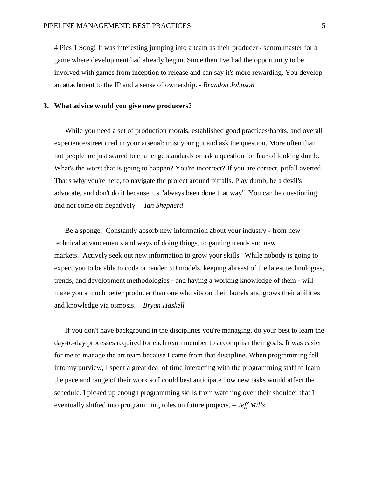4 Pics 1 Song! It was interesting jumping into a team as their producer / scrum master for a game where development had already begun. Since then I've had the opportunity to be involved with games from inception to release and can say it's more rewarding. You develop an attachment to the IP and a sense of ownership. - *Brandon Johnson*

## **3. What advice would you give new producers?**

While you need a set of production morals, established good practices/habits, and overall experience/street cred in your arsenal: trust your gut and ask the question. More often than not people are just scared to challenge standards or ask a question for fear of looking dumb. What's the worst that is going to happen? You're incorrect? If you are correct, pitfall averted. That's why you're here, to navigate the project around pitfalls. Play dumb, be a devil's advocate, and don't do it because it's "always been done that way". You can be questioning and not come off negatively. – *Ian Shepherd*

Be a sponge. Constantly absorb new information about your industry - from new technical advancements and ways of doing things, to gaming trends and new markets. Actively seek out new information to grow your skills. While nobody is going to expect you to be able to code or render 3D models, keeping abreast of the latest technologies, trends, and development methodologies - and having a working knowledge of them - will make you a much better producer than one who sits on their laurels and grows their abilities and knowledge via osmosis. – *Bryan Haskell*

If you don't have background in the disciplines you're managing, do your best to learn the day-to-day processes required for each team member to accomplish their goals. It was easier for me to manage the art team because I came from that discipline. When programming fell into my purview, I spent a great deal of time interacting with the programming staff to learn the pace and range of their work so I could best anticipate how new tasks would affect the schedule. I picked up enough programming skills from watching over their shoulder that I eventually shifted into programming roles on future projects. – *Jeff Mills*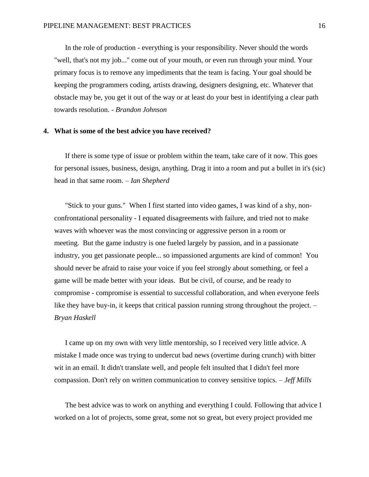In the role of production - everything is your responsibility. Never should the words "well, that's not my job..." come out of your mouth, or even run through your mind. Your primary focus is to remove any impediments that the team is facing. Your goal should be keeping the programmers coding, artists drawing, designers designing, etc. Whatever that obstacle may be, you get it out of the way or at least do your best in identifying a clear path towards resolution. - *Brandon Johnson*

#### **4. What is some of the best advice you have received?**

If there is some type of issue or problem within the team, take care of it now. This goes for personal issues, business, design, anything. Drag it into a room and put a bullet in it's (sic) head in that same room. – *Ian Shepherd* 

"Stick to your guns." When I first started into video games, I was kind of a shy, nonconfrontational personality - I equated disagreements with failure, and tried not to make waves with whoever was the most convincing or aggressive person in a room or meeting. But the game industry is one fueled largely by passion, and in a passionate industry, you get passionate people... so impassioned arguments are kind of common! You should never be afraid to raise your voice if you feel strongly about something, or feel a game will be made better with your ideas. But be civil, of course, and be ready to compromise - compromise is essential to successful collaboration, and when everyone feels like they have buy-in, it keeps that critical passion running strong throughout the project. – *Bryan Haskell* 

I came up on my own with very little mentorship, so I received very little advice. A mistake I made once was trying to undercut bad news (overtime during crunch) with bitter wit in an email. It didn't translate well, and people felt insulted that I didn't feel more compassion. Don't rely on written communication to convey sensitive topics. – *Jeff Mills*

The best advice was to work on anything and everything I could. Following that advice I worked on a lot of projects, some great, some not so great, but every project provided me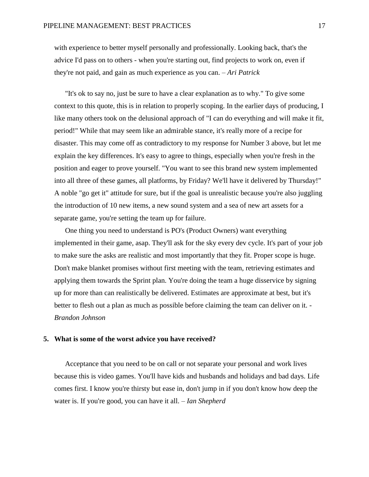with experience to better myself personally and professionally. Looking back, that's the advice I'd pass on to others - when you're starting out, find projects to work on, even if they're not paid, and gain as much experience as you can. – *Ari Patrick*

"It's ok to say no, just be sure to have a clear explanation as to why." To give some context to this quote, this is in relation to properly scoping. In the earlier days of producing, I like many others took on the delusional approach of "I can do everything and will make it fit, period!" While that may seem like an admirable stance, it's really more of a recipe for disaster. This may come off as contradictory to my response for Number 3 above, but let me explain the key differences. It's easy to agree to things, especially when you're fresh in the position and eager to prove yourself. "You want to see this brand new system implemented into all three of these games, all platforms, by Friday? We'll have it delivered by Thursday!" A noble "go get it" attitude for sure, but if the goal is unrealistic because you're also juggling the introduction of 10 new items, a new sound system and a sea of new art assets for a separate game, you're setting the team up for failure.

One thing you need to understand is PO's (Product Owners) want everything implemented in their game, asap. They'll ask for the sky every dev cycle. It's part of your job to make sure the asks are realistic and most importantly that they fit. Proper scope is huge. Don't make blanket promises without first meeting with the team, retrieving estimates and applying them towards the Sprint plan. You're doing the team a huge disservice by signing up for more than can realistically be delivered. Estimates are approximate at best, but it's better to flesh out a plan as much as possible before claiming the team can deliver on it. - *Brandon Johnson*

### **5. What is some of the worst advice you have received?**

Acceptance that you need to be on call or not separate your personal and work lives because this is video games. You'll have kids and husbands and holidays and bad days. Life comes first. I know you're thirsty but ease in, don't jump in if you don't know how deep the water is. If you're good, you can have it all. – *Ian Shepherd*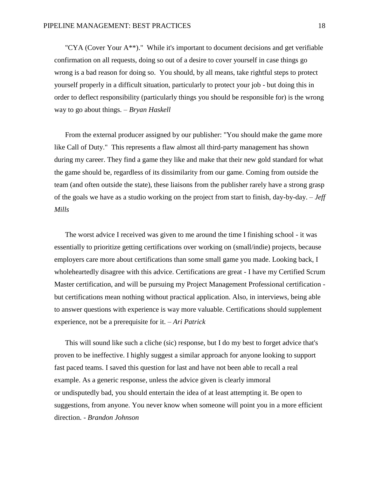"CYA (Cover Your A\*\*)." While it's important to document decisions and get verifiable confirmation on all requests, doing so out of a desire to cover yourself in case things go wrong is a bad reason for doing so. You should, by all means, take rightful steps to protect yourself properly in a difficult situation, particularly to protect your job - but doing this in order to deflect responsibility (particularly things you should be responsible for) is the wrong way to go about things. – *Bryan Haskell* 

From the external producer assigned by our publisher: "You should make the game more like Call of Duty." This represents a flaw almost all third-party management has shown during my career. They find a game they like and make that their new gold standard for what the game should be, regardless of its dissimilarity from our game. Coming from outside the team (and often outside the state), these liaisons from the publisher rarely have a strong grasp of the goals we have as a studio working on the project from start to finish, day-by-day. – *Jeff Mills* 

The worst advice I received was given to me around the time I finishing school - it was essentially to prioritize getting certifications over working on (small/indie) projects, because employers care more about certifications than some small game you made. Looking back, I wholeheartedly disagree with this advice. Certifications are great - I have my Certified Scrum Master certification, and will be pursuing my Project Management Professional certification but certifications mean nothing without practical application. Also, in interviews, being able to answer questions with experience is way more valuable. Certifications should supplement experience, not be a prerequisite for it. – *Ari Patrick*

This will sound like such a cliche (sic) response, but I do my best to forget advice that's proven to be ineffective. I highly suggest a similar approach for anyone looking to support fast paced teams. I saved this question for last and have not been able to recall a real example. As a generic response, unless the advice given is clearly immoral or undisputedly bad, you should entertain the idea of at least attempting it. Be open to suggestions, from anyone. You never know when someone will point you in a more efficient direction. - *Brandon Johnson*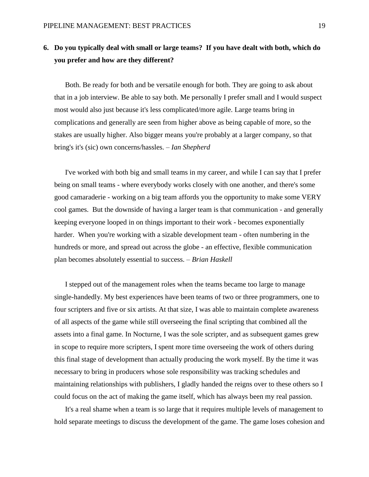# **6. Do you typically deal with small or large teams? If you have dealt with both, which do you prefer and how are they different?**

Both. Be ready for both and be versatile enough for both. They are going to ask about that in a job interview. Be able to say both. Me personally I prefer small and I would suspect most would also just because it's less complicated/more agile. Large teams bring in complications and generally are seen from higher above as being capable of more, so the stakes are usually higher. Also bigger means you're probably at a larger company, so that bring's it's (sic) own concerns/hassles. – *Ian Shepherd*

I've worked with both big and small teams in my career, and while I can say that I prefer being on small teams - where everybody works closely with one another, and there's some good camaraderie - working on a big team affords you the opportunity to make some VERY cool games. But the downside of having a larger team is that communication - and generally keeping everyone looped in on things important to their work - becomes exponentially harder. When you're working with a sizable development team - often numbering in the hundreds or more, and spread out across the globe - an effective, flexible communication plan becomes absolutely essential to success. – *Brian Haskell*

I stepped out of the management roles when the teams became too large to manage single-handedly. My best experiences have been teams of two or three programmers, one to four scripters and five or six artists. At that size, I was able to maintain complete awareness of all aspects of the game while still overseeing the final scripting that combined all the assets into a final game. In Nocturne, I was the sole scripter, and as subsequent games grew in scope to require more scripters, I spent more time overseeing the work of others during this final stage of development than actually producing the work myself. By the time it was necessary to bring in producers whose sole responsibility was tracking schedules and maintaining relationships with publishers, I gladly handed the reigns over to these others so I could focus on the act of making the game itself, which has always been my real passion.

It's a real shame when a team is so large that it requires multiple levels of management to hold separate meetings to discuss the development of the game. The game loses cohesion and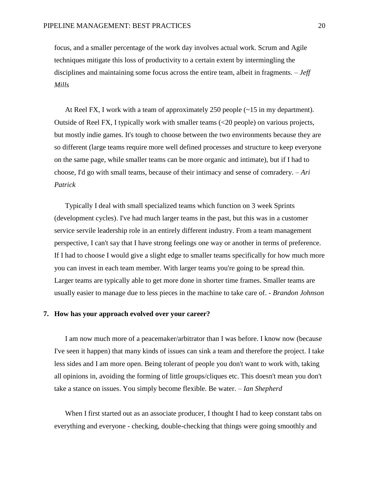focus, and a smaller percentage of the work day involves actual work. Scrum and Agile techniques mitigate this loss of productivity to a certain extent by intermingling the disciplines and maintaining some focus across the entire team, albeit in fragments. – *Jeff Mills* 

At Reel FX, I work with a team of approximately 250 people  $(\sim 15 \text{ in my department})$ . Outside of Reel FX, I typically work with smaller teams (<20 people) on various projects, but mostly indie games. It's tough to choose between the two environments because they are so different (large teams require more well defined processes and structure to keep everyone on the same page, while smaller teams can be more organic and intimate), but if I had to choose, I'd go with small teams, because of their intimacy and sense of comradery. – *Ari Patrick* 

Typically I deal with small specialized teams which function on 3 week Sprints (development cycles). I've had much larger teams in the past, but this was in a customer service servile leadership role in an entirely different industry. From a team management perspective, I can't say that I have strong feelings one way or another in terms of preference. If I had to choose I would give a slight edge to smaller teams specifically for how much more you can invest in each team member. With larger teams you're going to be spread thin. Larger teams are typically able to get more done in shorter time frames. Smaller teams are usually easier to manage due to less pieces in the machine to take care of. - *Brandon Johnson*

### **7. How has your approach evolved over your career?**

I am now much more of a peacemaker/arbitrator than I was before. I know now (because I've seen it happen) that many kinds of issues can sink a team and therefore the project. I take less sides and I am more open. Being tolerant of people you don't want to work with, taking all opinions in, avoiding the forming of little groups/cliques etc. This doesn't mean you don't take a stance on issues. You simply become flexible. Be water. – *Ian Shepherd*

When I first started out as an associate producer, I thought I had to keep constant tabs on everything and everyone - checking, double-checking that things were going smoothly and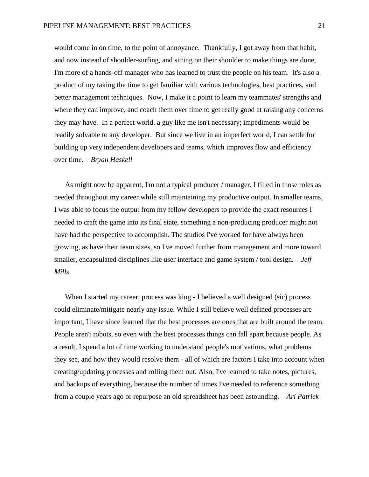would come in on time, to the point of annoyance. Thankfully, I got away from that habit, and now instead of shoulder-surfing, and sitting on their shoulder to make things are done, I'm more of a hands-off manager who has learned to trust the people on his team. It's also a product of my taking the time to get familiar with various technologies, best practices, and better management techniques. Now, I make it a point to learn my teammates' strengths and where they can improve, and coach them over time to get really good at raising any concerns they may have. In a perfect world, a guy like me isn't necessary; impediments would be readily solvable to any developer. But since we live in an imperfect world, I can settle for building up very independent developers and teams, which improves flow and efficiency over time. – *Bryan Haskell*

As might now be apparent, I'm not a typical producer / manager. I filled in those roles as needed throughout my career while still maintaining my productive output. In smaller teams, I was able to focus the output from my fellow developers to provide the exact resources I needed to craft the game into its final state, something a non-producing producer might not have had the perspective to accomplish. The studios I've worked for have always been growing, as have their team sizes, so I've moved further from management and more toward smaller, encapsulated disciplines like user interface and game system / tool design. – *Jeff Mills*

When I started my career, process was king - I believed a well designed (sic) process could eliminate/mitigate nearly any issue. While I still believe well defined processes are important, I have since learned that the best processes are ones that are built around the team. People aren't robots, so even with the best processes things can fall apart because people. As a result, I spend a lot of time working to understand people's motivations, what problems they see, and how they would resolve them - all of which are factors I take into account when creating/updating processes and rolling them out. Also, I've learned to take notes, pictures, and backups of everything, because the number of times I've needed to reference something from a couple years ago or repurpose an old spreadsheet has been astounding. *– Ari Patrick*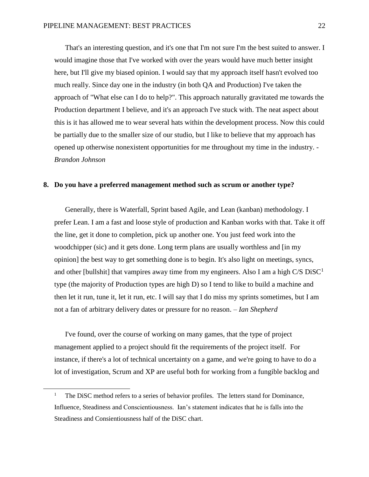That's an interesting question, and it's one that I'm not sure I'm the best suited to answer. I would imagine those that I've worked with over the years would have much better insight here, but I'll give my biased opinion. I would say that my approach itself hasn't evolved too much really. Since day one in the industry (in both QA and Production) I've taken the approach of "What else can I do to help?". This approach naturally gravitated me towards the Production department I believe, and it's an approach I've stuck with. The neat aspect about this is it has allowed me to wear several hats within the development process. Now this could be partially due to the smaller size of our studio, but I like to believe that my approach has opened up otherwise nonexistent opportunities for me throughout my time in the industry. - *Brandon Johnson*

## **8. Do you have a preferred management method such as scrum or another type?**

Generally, there is Waterfall, Sprint based Agile, and Lean (kanban) methodology. I prefer Lean. I am a fast and loose style of production and Kanban works with that. Take it off the line, get it done to completion, pick up another one. You just feed work into the woodchipper (sic) and it gets done. Long term plans are usually worthless and [in my opinion] the best way to get something done is to begin. It's also light on meetings, syncs, and other [bullshit] that vampires away time from my engineers. Also I am a high  $C/S$  DiSC<sup>1</sup> type (the majority of Production types are high D) so I tend to like to build a machine and then let it run, tune it, let it run, etc. I will say that I do miss my sprints sometimes, but I am not a fan of arbitrary delivery dates or pressure for no reason. – *Ian Shepherd*

I've found, over the course of working on many games, that the type of project management applied to a project should fit the requirements of the project itself. For instance, if there's a lot of technical uncertainty on a game, and we're going to have to do a lot of investigation, Scrum and XP are useful both for working from a fungible backlog and

 $\overline{\phantom{a}}$ 

<sup>&</sup>lt;sup>1</sup> The DiSC method refers to a series of behavior profiles. The letters stand for Dominance, Influence, Steadiness and Conscientiousness. Ian's statement indicates that he is falls into the Steadiness and Consientiousness half of the DiSC chart.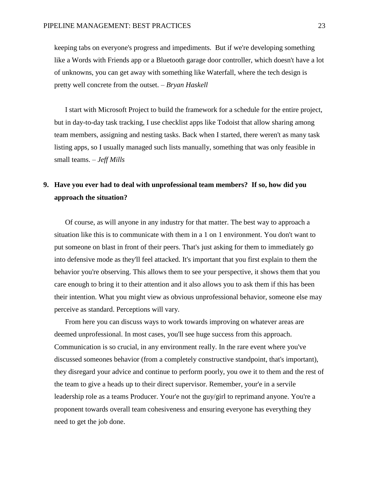keeping tabs on everyone's progress and impediments. But if we're developing something like a Words with Friends app or a Bluetooth garage door controller, which doesn't have a lot of unknowns, you can get away with something like Waterfall, where the tech design is pretty well concrete from the outset. – *Bryan Haskell* 

I start with Microsoft Project to build the framework for a schedule for the entire project, but in day-to-day task tracking, I use checklist apps like Todoist that allow sharing among team members, assigning and nesting tasks. Back when I started, there weren't as many task listing apps, so I usually managed such lists manually, something that was only feasible in small teams. – *Jeff Mills*

# **9. Have you ever had to deal with unprofessional team members? If so, how did you approach the situation?**

Of course, as will anyone in any industry for that matter. The best way to approach a situation like this is to communicate with them in a 1 on 1 environment. You don't want to put someone on blast in front of their peers. That's just asking for them to immediately go into defensive mode as they'll feel attacked. It's important that you first explain to them the behavior you're observing. This allows them to see your perspective, it shows them that you care enough to bring it to their attention and it also allows you to ask them if this has been their intention. What you might view as obvious unprofessional behavior, someone else may perceive as standard. Perceptions will vary.

From here you can discuss ways to work towards improving on whatever areas are deemed unprofessional. In most cases, you'll see huge success from this approach. Communication is so crucial, in any environment really. In the rare event where you've discussed someones behavior (from a completely constructive standpoint, that's important), they disregard your advice and continue to perform poorly, you owe it to them and the rest of the team to give a heads up to their direct supervisor. Remember, your'e in a servile leadership role as a teams Producer. Your'e not the guy/girl to reprimand anyone. You're a proponent towards overall team cohesiveness and ensuring everyone has everything they need to get the job done.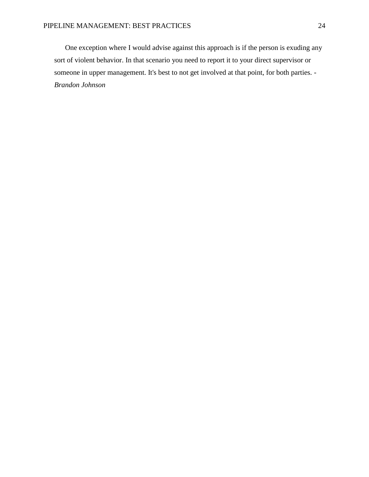One exception where I would advise against this approach is if the person is exuding any sort of violent behavior. In that scenario you need to report it to your direct supervisor or someone in upper management. It's best to not get involved at that point, for both parties. - *Brandon Johnson*